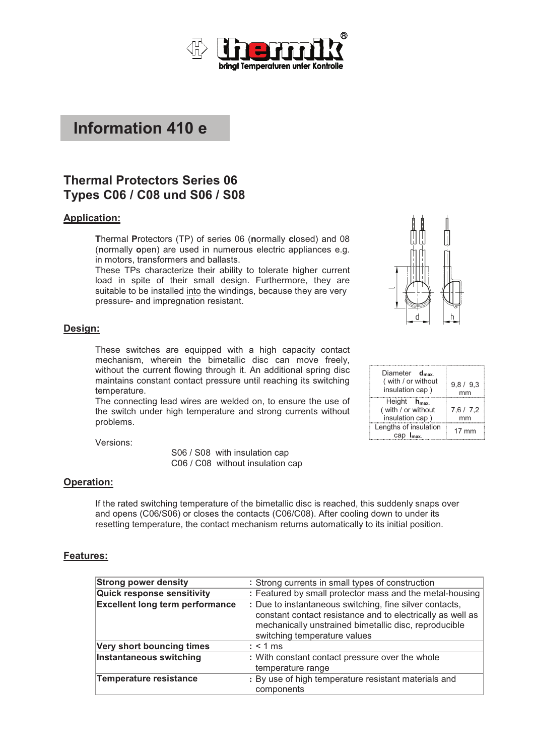

# **Information 410 e**

# **Thermal Protectors Series 06 Types C06 / C08 und S06 / S08**

### **Application:**

**T**hermal **P**rotectors (TP) of series 06 (**n**ormally **c**losed) and 08 (**n**ormally **o**pen) are used in numerous electric appliances e.g. in motors, transformers and ballasts.

These TPs characterize their ability to tolerate higher current load in spite of their small design. Furthermore, they are suitable to be installed into the windings, because they are very pressure- and impregnation resistant.

#### **Design:**

These switches are equipped with a high capacity contact mechanism, wherein the bimetallic disc can move freely, without the current flowing through it. An additional spring disc maintains constant contact pressure until reaching its switching temperature.

The connecting lead wires are welded on, to ensure the use of the switch under high temperature and strong currents without problems.

Versions:

 S06 / S08 with insulation cap C06 / C08 without insulation cap

### **Operation:**

If the rated switching temperature of the bimetallic disc is reached, this suddenly snaps over and opens (C06/S06) or closes the contacts (C06/C08). After cooling down to under its resetting temperature, the contact mechanism returns automatically to its initial position.

#### **Features:**

| <b>Strong power density</b>            | : Strong currents in small types of construction                                                                                                                                                               |
|----------------------------------------|----------------------------------------------------------------------------------------------------------------------------------------------------------------------------------------------------------------|
| <b>Quick response sensitivity</b>      | : Featured by small protector mass and the metal-housing                                                                                                                                                       |
| <b>Excellent long term performance</b> | : Due to instantaneous switching, fine silver contacts,<br>constant contact resistance and to electrically as well as<br>mechanically unstrained bimetallic disc, reproducible<br>switching temperature values |
| Very short bouncing times              | $:$ < 1 ms                                                                                                                                                                                                     |
| <b>Instantaneous switching</b>         | : With constant contact pressure over the whole<br>temperature range                                                                                                                                           |
| Temperature resistance                 | : By use of high temperature resistant materials and<br>components                                                                                                                                             |

| Diameter $d_{\text{max}}$<br>(with / or without<br>insulation cap) | 9,8 / 9,3       |
|--------------------------------------------------------------------|-----------------|
| Height $h_{\text{max}}$<br>(with / or without<br>insulation cap)   | 7,6/7,2         |
| Lengths of insulation<br>cap $I_{\text{max}}$                      | $17 \text{ mm}$ |